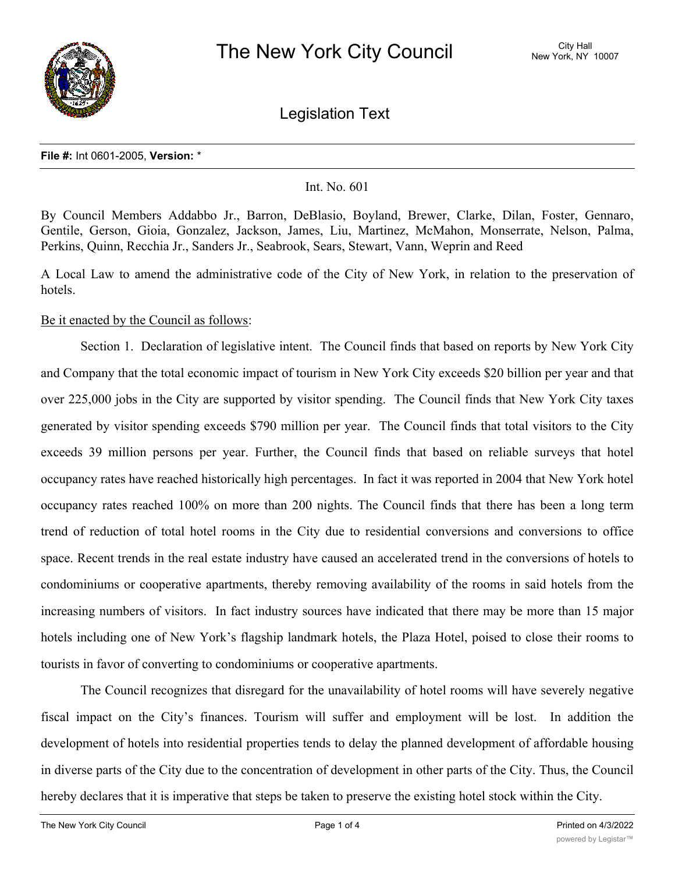

Legislation Text

## **File #:** Int 0601-2005, **Version:** \*

## Int. No. 601

By Council Members Addabbo Jr., Barron, DeBlasio, Boyland, Brewer, Clarke, Dilan, Foster, Gennaro, Gentile, Gerson, Gioia, Gonzalez, Jackson, James, Liu, Martinez, McMahon, Monserrate, Nelson, Palma, Perkins, Quinn, Recchia Jr., Sanders Jr., Seabrook, Sears, Stewart, Vann, Weprin and Reed

A Local Law to amend the administrative code of the City of New York, in relation to the preservation of hotels.

## Be it enacted by the Council as follows:

Section 1. Declaration of legislative intent. The Council finds that based on reports by New York City and Company that the total economic impact of tourism in New York City exceeds \$20 billion per year and that over 225,000 jobs in the City are supported by visitor spending. The Council finds that New York City taxes generated by visitor spending exceeds \$790 million per year. The Council finds that total visitors to the City exceeds 39 million persons per year. Further, the Council finds that based on reliable surveys that hotel occupancy rates have reached historically high percentages. In fact it was reported in 2004 that New York hotel occupancy rates reached 100% on more than 200 nights. The Council finds that there has been a long term trend of reduction of total hotel rooms in the City due to residential conversions and conversions to office space. Recent trends in the real estate industry have caused an accelerated trend in the conversions of hotels to condominiums or cooperative apartments, thereby removing availability of the rooms in said hotels from the increasing numbers of visitors. In fact industry sources have indicated that there may be more than 15 major hotels including one of New York's flagship landmark hotels, the Plaza Hotel, poised to close their rooms to tourists in favor of converting to condominiums or cooperative apartments.

The Council recognizes that disregard for the unavailability of hotel rooms will have severely negative fiscal impact on the City's finances. Tourism will suffer and employment will be lost. In addition the development of hotels into residential properties tends to delay the planned development of affordable housing in diverse parts of the City due to the concentration of development in other parts of the City. Thus, the Council hereby declares that it is imperative that steps be taken to preserve the existing hotel stock within the City.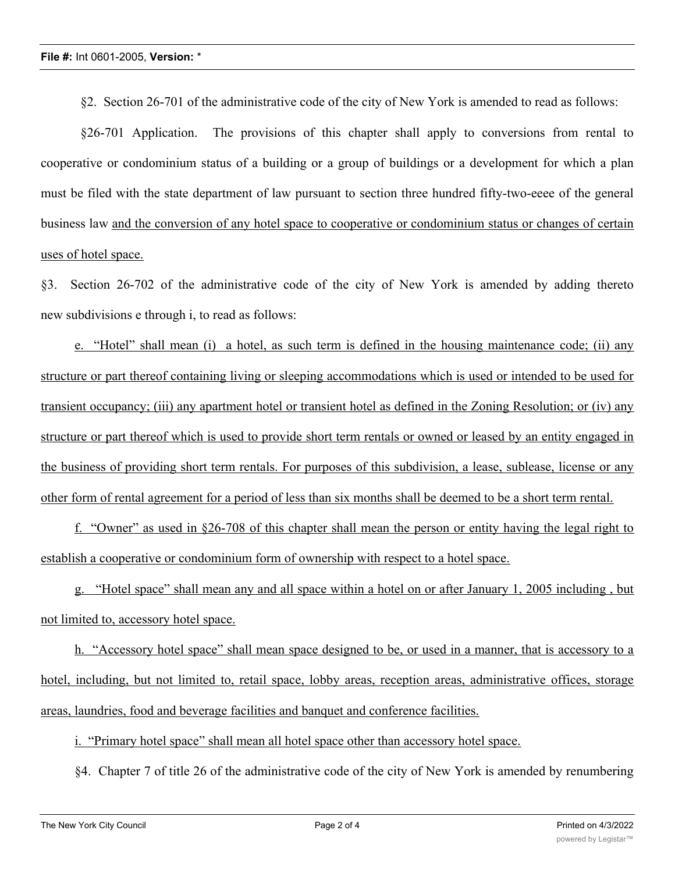§2. Section 26-701 of the administrative code of the city of New York is amended to read as follows:

§26-701 Application. The provisions of this chapter shall apply to conversions from rental to cooperative or condominium status of a building or a group of buildings or a development for which a plan must be filed with the state department of law pursuant to section three hundred fifty-two-eeee of the general business law and the conversion of any hotel space to cooperative or condominium status or changes of certain uses of hotel space.

§3. Section 26-702 of the administrative code of the city of New York is amended by adding thereto new subdivisions e through i, to read as follows:

e. "Hotel" shall mean (i) a hotel, as such term is defined in the housing maintenance code; (ii) any structure or part thereof containing living or sleeping accommodations which is used or intended to be used for transient occupancy; (iii) any apartment hotel or transient hotel as defined in the Zoning Resolution; or (iv) any structure or part thereof which is used to provide short term rentals or owned or leased by an entity engaged in the business of providing short term rentals. For purposes of this subdivision, a lease, sublease, license or any other form of rental agreement for a period of less than six months shall be deemed to be a short term rental.

f. "Owner" as used in §26-708 of this chapter shall mean the person or entity having the legal right to establish a cooperative or condominium form of ownership with respect to a hotel space.

g. "Hotel space" shall mean any and all space within a hotel on or after January 1, 2005 including , but not limited to, accessory hotel space.

h. "Accessory hotel space" shall mean space designed to be, or used in a manner, that is accessory to a hotel, including, but not limited to, retail space, lobby areas, reception areas, administrative offices, storage areas, laundries, food and beverage facilities and banquet and conference facilities.

i. "Primary hotel space" shall mean all hotel space other than accessory hotel space.

§4. Chapter 7 of title 26 of the administrative code of the city of New York is amended by renumbering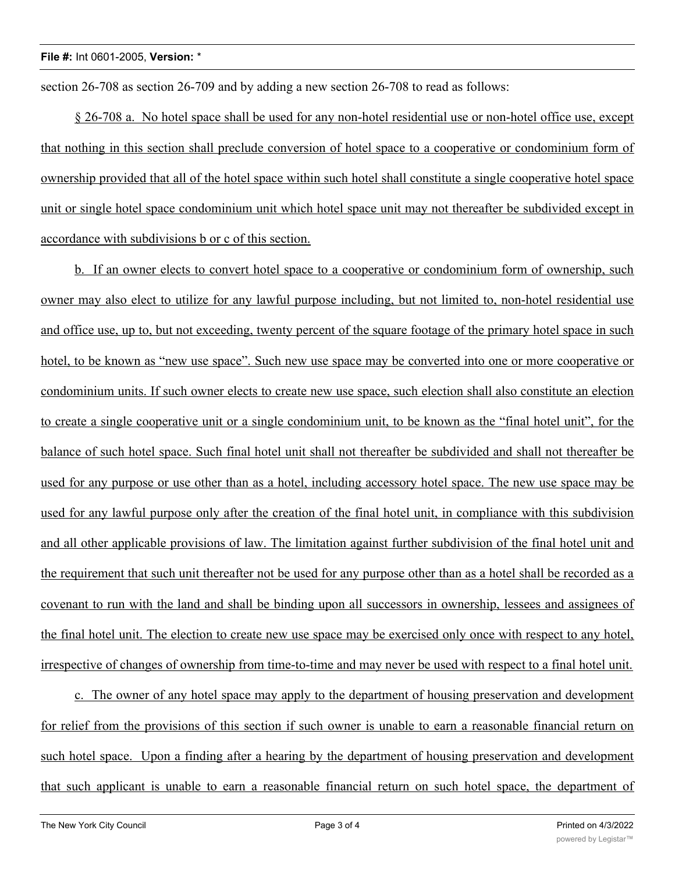section 26-708 as section 26-709 and by adding a new section 26-708 to read as follows:

§ 26-708 a. No hotel space shall be used for any non-hotel residential use or non-hotel office use, except that nothing in this section shall preclude conversion of hotel space to a cooperative or condominium form of ownership provided that all of the hotel space within such hotel shall constitute a single cooperative hotel space unit or single hotel space condominium unit which hotel space unit may not thereafter be subdivided except in accordance with subdivisions b or c of this section.

b. If an owner elects to convert hotel space to a cooperative or condominium form of ownership, such owner may also elect to utilize for any lawful purpose including, but not limited to, non-hotel residential use and office use, up to, but not exceeding, twenty percent of the square footage of the primary hotel space in such hotel, to be known as "new use space". Such new use space may be converted into one or more cooperative or condominium units. If such owner elects to create new use space, such election shall also constitute an election to create a single cooperative unit or a single condominium unit, to be known as the "final hotel unit", for the balance of such hotel space. Such final hotel unit shall not thereafter be subdivided and shall not thereafter be used for any purpose or use other than as a hotel, including accessory hotel space. The new use space may be used for any lawful purpose only after the creation of the final hotel unit, in compliance with this subdivision and all other applicable provisions of law. The limitation against further subdivision of the final hotel unit and the requirement that such unit thereafter not be used for any purpose other than as a hotel shall be recorded as a covenant to run with the land and shall be binding upon all successors in ownership, lessees and assignees of the final hotel unit. The election to create new use space may be exercised only once with respect to any hotel, irrespective of changes of ownership from time-to-time and may never be used with respect to a final hotel unit.

c. The owner of any hotel space may apply to the department of housing preservation and development for relief from the provisions of this section if such owner is unable to earn a reasonable financial return on such hotel space. Upon a finding after a hearing by the department of housing preservation and development that such applicant is unable to earn a reasonable financial return on such hotel space, the department of